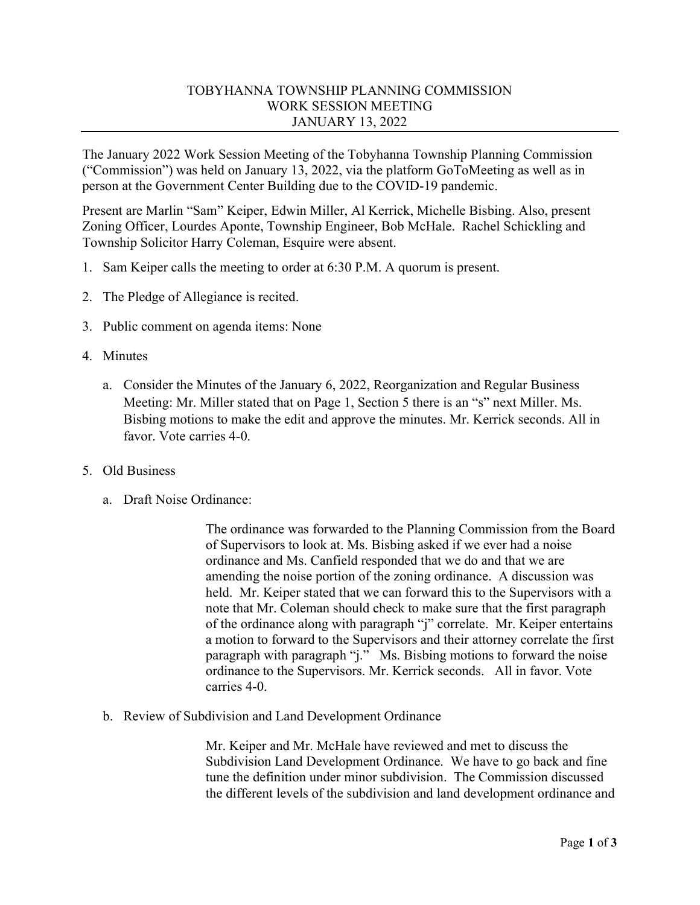## TOBYHANNA TOWNSHIP PLANNING COMMISSION WORK SESSION MEETING JANUARY 13, 2022

The January 2022 Work Session Meeting of the Tobyhanna Township Planning Commission ("Commission") was held on January 13, 2022, via the platform GoToMeeting as well as in person at the Government Center Building due to the COVID-19 pandemic.

Present are Marlin "Sam" Keiper, Edwin Miller, Al Kerrick, Michelle Bisbing. Also, present Zoning Officer, Lourdes Aponte, Township Engineer, Bob McHale. Rachel Schickling and Township Solicitor Harry Coleman, Esquire were absent.

- 1. Sam Keiper calls the meeting to order at 6:30 P.M. A quorum is present.
- 2. The Pledge of Allegiance is recited.
- 3. Public comment on agenda items: None
- 4. Minutes
	- a. Consider the Minutes of the January 6, 2022, Reorganization and Regular Business Meeting: Mr. Miller stated that on Page 1, Section 5 there is an "s" next Miller. Ms. Bisbing motions to make the edit and approve the minutes. Mr. Kerrick seconds. All in favor. Vote carries 4-0.
- 5. Old Business
	- a. Draft Noise Ordinance:

The ordinance was forwarded to the Planning Commission from the Board of Supervisors to look at. Ms. Bisbing asked if we ever had a noise ordinance and Ms. Canfield responded that we do and that we are amending the noise portion of the zoning ordinance. A discussion was held. Mr. Keiper stated that we can forward this to the Supervisors with a note that Mr. Coleman should check to make sure that the first paragraph of the ordinance along with paragraph "j" correlate. Mr. Keiper entertains a motion to forward to the Supervisors and their attorney correlate the first paragraph with paragraph "j." Ms. Bisbing motions to forward the noise ordinance to the Supervisors. Mr. Kerrick seconds. All in favor. Vote carries 4-0.

b. Review of Subdivision and Land Development Ordinance

Mr. Keiper and Mr. McHale have reviewed and met to discuss the Subdivision Land Development Ordinance. We have to go back and fine tune the definition under minor subdivision. The Commission discussed the different levels of the subdivision and land development ordinance and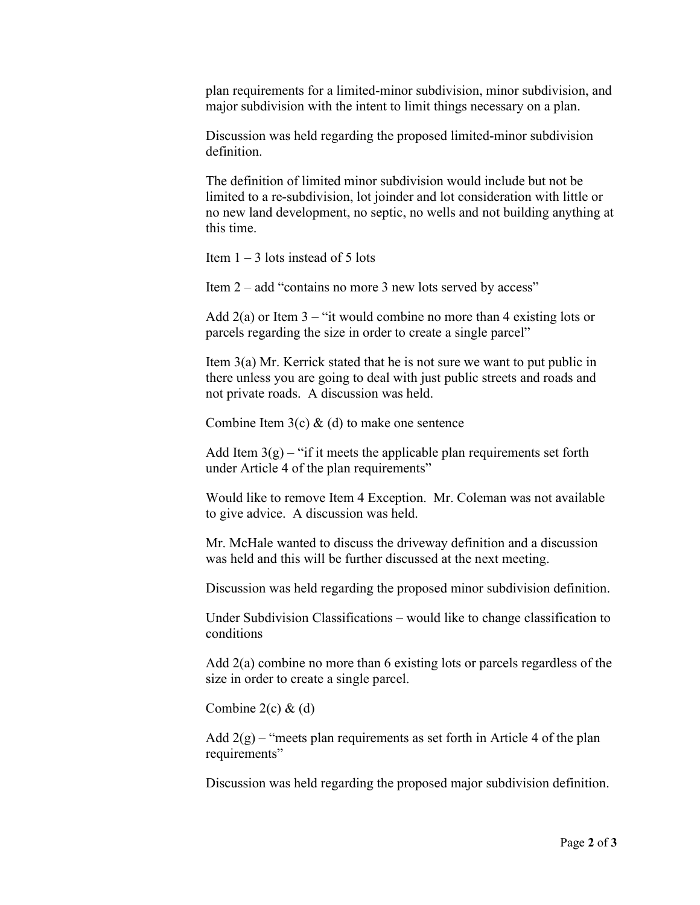plan requirements for a limited-minor subdivision, minor subdivision, and major subdivision with the intent to limit things necessary on a plan.

Discussion was held regarding the proposed limited-minor subdivision definition.

The definition of limited minor subdivision would include but not be limited to a re-subdivision, lot joinder and lot consideration with little or no new land development, no septic, no wells and not building anything at this time.

Item  $1 - 3$  lots instead of 5 lots

Item 2 – add "contains no more 3 new lots served by access"

Add  $2(a)$  or Item  $3 -$  "it would combine no more than 4 existing lots or parcels regarding the size in order to create a single parcel"

Item 3(a) Mr. Kerrick stated that he is not sure we want to put public in there unless you are going to deal with just public streets and roads and not private roads. A discussion was held.

Combine Item  $3(c)$  & (d) to make one sentence

Add Item  $3(g)$  – "if it meets the applicable plan requirements set forth under Article 4 of the plan requirements"

Would like to remove Item 4 Exception. Mr. Coleman was not available to give advice. A discussion was held.

Mr. McHale wanted to discuss the driveway definition and a discussion was held and this will be further discussed at the next meeting.

Discussion was held regarding the proposed minor subdivision definition.

Under Subdivision Classifications – would like to change classification to conditions

Add 2(a) combine no more than 6 existing lots or parcels regardless of the size in order to create a single parcel.

Combine  $2(c)$  &  $(d)$ 

Add  $2(g)$  – "meets plan requirements as set forth in Article 4 of the plan requirements"

Discussion was held regarding the proposed major subdivision definition.